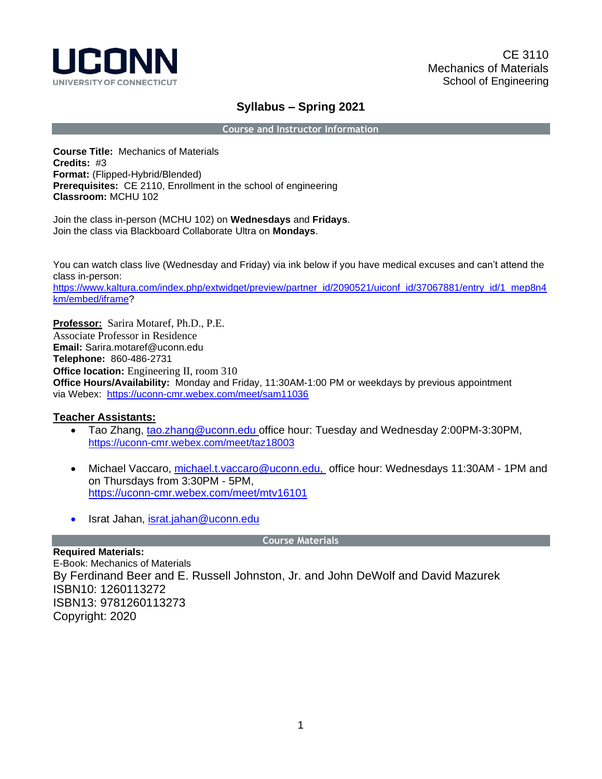

# **Syllabus – Spring 2021**

**Course and Instructor Information**

**Course Title:** Mechanics of Materials **Credits:** #3 **Format:** (Flipped-Hybrid/Blended) **Prerequisites:** CE 2110, Enrollment in the school of engineering **Classroom:** MCHU 102

Join the class in-person (MCHU 102) on **Wednesdays** and **Fridays**. Join the class via Blackboard Collaborate Ultra on **Mondays**.

You can watch class live (Wednesday and Friday) via ink below if you have medical excuses and can't attend the class in-person: [https://www.kaltura.com/index.php/extwidget/preview/partner\\_id/2090521/uiconf\\_id/37067881/entry\\_id/1\\_mep8n4](https://www.kaltura.com/index.php/extwidget/preview/partner_id/2090521/uiconf_id/37067881/entry_id/1_mep8n4km/embed/iframe) [km/embed/iframe?](https://www.kaltura.com/index.php/extwidget/preview/partner_id/2090521/uiconf_id/37067881/entry_id/1_mep8n4km/embed/iframe)

**Professor:** Sarira Motaref, Ph.D., P.E. Associate Professor in Residence **Email:** Sarira.motaref@uconn.edu **Telephone:** 860-486-2731 **Office location:** Engineering II, room 310 **Office Hours/Availability:** Monday and Friday, 11:30AM-1:00 PM or weekdays by previous appointment via Webex: <https://uconn-cmr.webex.com/meet/sam11036>

## **Teacher Assistants:**

- Tao Zhang, [tao.zhang@uconn.edu](mailto:tao.zhang@uconn.edu) office hour: Tuesday and Wednesday 2:00PM-3:30PM, [https://uconn-cmr.webex.com/meet/taz18003](https://nam10.safelinks.protection.outlook.com/?url=https%3A%2F%2Fuconn-cmr.webex.com%2Fmeet%2Ftaz18003&data=02%7C01%7Csarira.motaref%40uconn.edu%7Ca6b1e1130fef47b7024408d833ced759%7C17f1a87e2a254eaab9df9d439034b080%7C0%7C0%7C637316310748444586&sdata=bkhl%2BrxRTSYoVdk3o33faIoleL%2BCA%2FTG9ZJteThjCjo%3D&reserved=0)
- Michael Vaccaro, [michael.t.vaccaro@uconn.edu,](mailto:michael.t.vaccaro@uconn.edu) office hour: Wednesdays 11:30AM 1PM and on Thursdays from 3:30PM - 5PM, <https://uconn-cmr.webex.com/meet/mtv16101>
- Israt Jahan, [israt.jahan@uconn.edu](mailto:israt.jahan@uconn.edu)

**Course Materials**

**Required Materials:** E-Book: Mechanics of Materials By Ferdinand Beer and E. Russell Johnston, Jr. and John DeWolf and David Mazurek ISBN10: 1260113272 ISBN13: 9781260113273 Copyright: 2020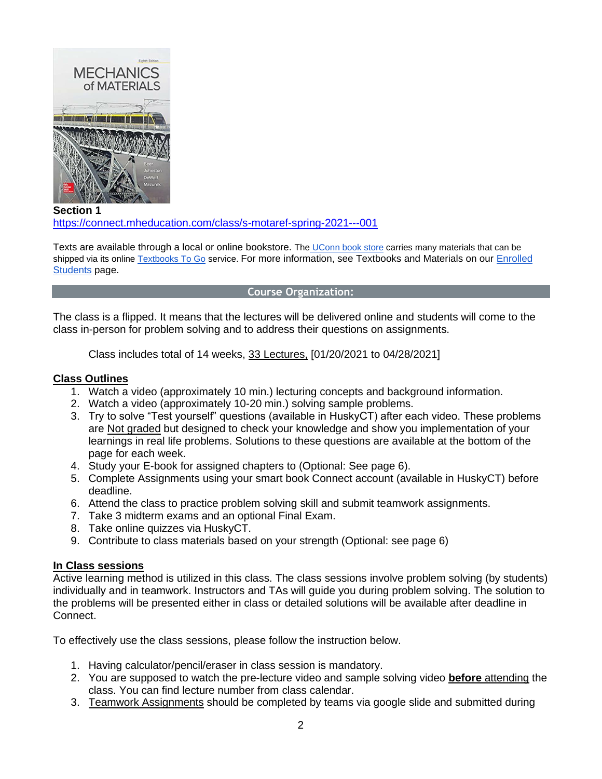

**Section 1** <https://connect.mheducation.com/class/s-motaref-spring-2021---001>

Texts are available through a local or online bookstore. The [UConn book](http://bookstore.uconn.edu/index.html) store carries many materials that can be shipped via its online [Textbooks To Go](http://bookstore.uconn.edu/text/ttg.html) se[r](http://ecampus.uconn.edu/enrolled_students.html)vice. For more information, see Textbooks and Materials on our Enrolled [Students](http://ecampus.uconn.edu/enrolled_students.html) page.

## **Course Organization:**

The class is a flipped. It means that the lectures will be delivered online and students will come to the class in-person for problem solving and to address their questions on assignments.

Class includes total of 14 weeks, 33 Lectures, [01/20/2021 to 04/28/2021]

## **Class Outlines**

- 1. Watch a video (approximately 10 min.) lecturing concepts and background information.
- 2. Watch a video (approximately 10-20 min.) solving sample problems.
- 3. Try to solve "Test yourself" questions (available in HuskyCT) after each video. These problems are Not graded but designed to check your knowledge and show you implementation of your learnings in real life problems. Solutions to these questions are available at the bottom of the page for each week.
- 4. Study your E-book for assigned chapters to (Optional: See page 6).
- 5. Complete Assignments using your smart book Connect account (available in HuskyCT) before deadline.
- 6. Attend the class to practice problem solving skill and submit teamwork assignments.
- 7. Take 3 midterm exams and an optional Final Exam.
- 8. Take online quizzes via HuskyCT.
- 9. Contribute to class materials based on your strength (Optional: see page 6)

## **In Class sessions**

Active learning method is utilized in this class. The class sessions involve problem solving (by students) individually and in teamwork. Instructors and TAs will guide you during problem solving. The solution to the problems will be presented either in class or detailed solutions will be available after deadline in Connect.

To effectively use the class sessions, please follow the instruction below.

- 1. Having calculator/pencil/eraser in class session is mandatory.
- 2. You are supposed to watch the pre-lecture video and sample solving video **before** attending the class. You can find lecture number from class calendar.
- 3. Teamwork Assignments should be completed by teams via google slide and submitted during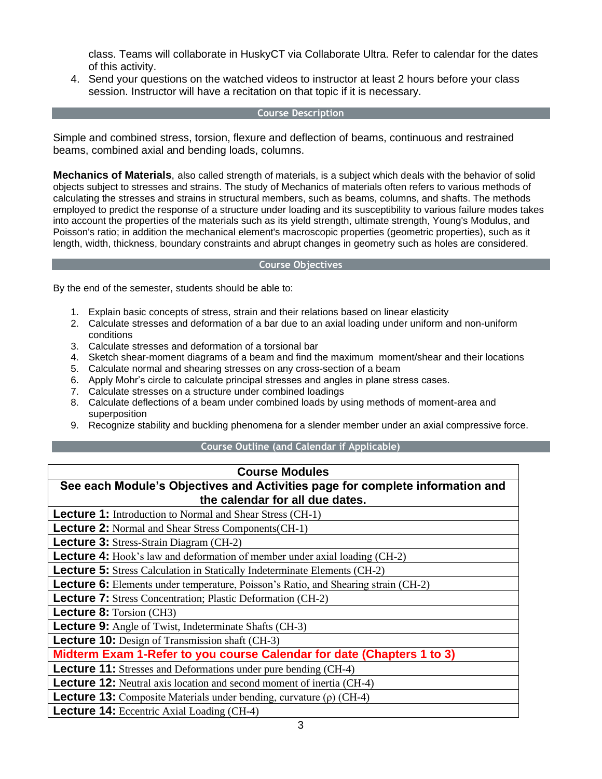class. Teams will collaborate in HuskyCT via Collaborate Ultra. Refer to calendar for the dates of this activity.

4. Send your questions on the watched videos to instructor at least 2 hours before your class session. Instructor will have a recitation on that topic if it is necessary.

### **Course Description**

Simple and combined stress, torsion, flexure and deflection of beams, continuous and restrained beams, combined axial and bending loads, columns.

**Mechanics of Materials**, also called strength of materials, is a subject which deals with the behavior of solid objects subject to [stresses](http://en.wikipedia.org/wiki/Stress_%28physics%29) and [strains.](http://en.wikipedia.org/wiki/Strain_%28physics%29) The study of Mechanics of materials often refers to various methods of calculating the stresses and strains in structural members, such as beams, columns, and shafts. The methods employed to predict the response of a structure under loading and its susceptibility to various failure modes takes into account the properties of the materials such as its [yield strength,](http://en.wikipedia.org/wiki/Yield_strength) [ultimate strength,](http://en.wikipedia.org/wiki/Ultimate_strength) [Young's Modulus,](http://en.wikipedia.org/wiki/Young%27s_Modulus) and [Poisson's ratio;](http://en.wikipedia.org/wiki/Poisson%27s_ratio) in addition the mechanical element's macroscopic properties (geometric properties), such as it length, width, thickness, boundary constraints and abrupt changes in geometry such as holes are considered.

#### **Course Objectives**

By the end of the semester, students should be able to:

- 1. Explain basic concepts of stress, strain and their relations based on linear elasticity
- 2. Calculate stresses and deformation of a bar due to an axial loading under uniform and non-uniform conditions
- 3. Calculate stresses and deformation of a torsional bar
- 4. Sketch shear-moment diagrams of a beam and find the maximum moment/shear and their locations
- 5. Calculate normal and shearing stresses on any cross-section of a beam
- 6. Apply Mohr's circle to calculate principal stresses and angles in plane stress cases.
- 7. Calculate stresses on a structure under combined loadings
- 8. Calculate deflections of a beam under combined loads by using methods of moment-area and superposition
- 9. Recognize stability and buckling phenomena for a slender member under an axial compressive force.

## **Course Outline (and Calendar if Applicable)**

| <b>Course Modules</b>                                                                     |  |  |
|-------------------------------------------------------------------------------------------|--|--|
| See each Module's Objectives and Activities page for complete information and             |  |  |
| the calendar for all due dates.                                                           |  |  |
| <b>Lecture 1:</b> Introduction to Normal and Shear Stress (CH-1)                          |  |  |
| <b>Lecture 2:</b> Normal and Shear Stress Components (CH-1)                               |  |  |
| <b>Lecture 3:</b> Stress-Strain Diagram (CH-2)                                            |  |  |
| <b>Lecture 4:</b> Hook's law and deformation of member under axial loading (CH-2)         |  |  |
| <b>Lecture 5:</b> Stress Calculation in Statically Indeterminate Elements (CH-2)          |  |  |
| <b>Lecture 6:</b> Elements under temperature, Poisson's Ratio, and Shearing strain (CH-2) |  |  |
| <b>Lecture 7:</b> Stress Concentration; Plastic Deformation (CH-2)                        |  |  |
| <b>Lecture 8: Torsion (CH3)</b>                                                           |  |  |
| <b>Lecture 9:</b> Angle of Twist, Indeterminate Shafts (CH-3)                             |  |  |
| <b>Lecture 10:</b> Design of Transmission shaft (CH-3)                                    |  |  |
| Midterm Exam 1-Refer to you course Calendar for date (Chapters 1 to 3)                    |  |  |
| <b>Lecture 11:</b> Stresses and Deformations under pure bending (CH-4)                    |  |  |
| <b>Lecture 12:</b> Neutral axis location and second moment of inertia (CH-4)              |  |  |
| <b>Lecture 13:</b> Composite Materials under bending, curvature $(\rho)$ (CH-4)           |  |  |
| <b>Lecture 14:</b> Eccentric Axial Loading (CH-4)                                         |  |  |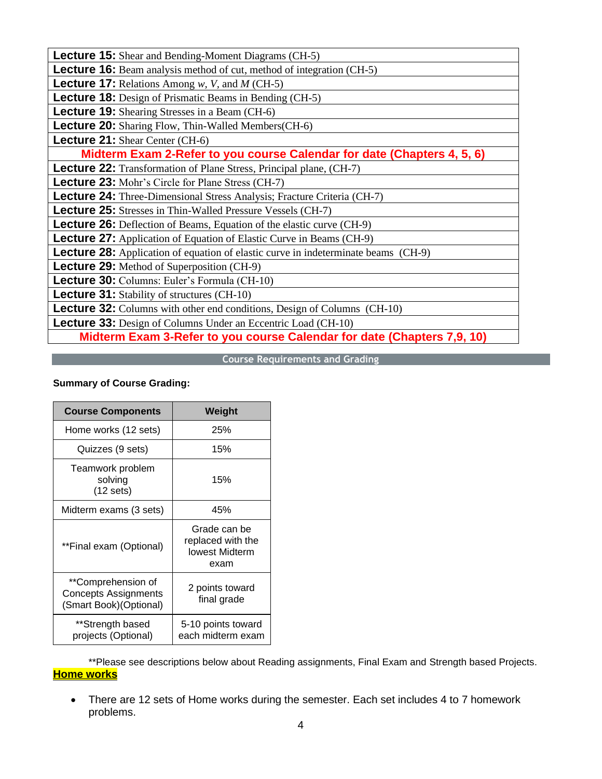| <b>Lecture 15:</b> Shear and Bending-Moment Diagrams (CH-5)                               |  |  |
|-------------------------------------------------------------------------------------------|--|--|
| <b>Lecture 16:</b> Beam analysis method of cut, method of integration (CH-5)              |  |  |
| <b>Lecture 17:</b> Relations Among $w$ , $V$ , and $M$ (CH-5)                             |  |  |
| <b>Lecture 18:</b> Design of Prismatic Beams in Bending (CH-5)                            |  |  |
| <b>Lecture 19:</b> Shearing Stresses in a Beam (CH-6)                                     |  |  |
| <b>Lecture 20:</b> Sharing Flow, Thin-Walled Members(CH-6)                                |  |  |
| <b>Lecture 21:</b> Shear Center (CH-6)                                                    |  |  |
| Midterm Exam 2-Refer to you course Calendar for date (Chapters 4, 5, 6)                   |  |  |
| <b>Lecture 22:</b> Transformation of Plane Stress, Principal plane, (CH-7)                |  |  |
| <b>Lecture 23:</b> Mohr's Circle for Plane Stress (CH-7)                                  |  |  |
| <b>Lecture 24:</b> Three-Dimensional Stress Analysis; Fracture Criteria (CH-7)            |  |  |
| <b>Lecture 25:</b> Stresses in Thin-Walled Pressure Vessels (CH-7)                        |  |  |
| <b>Lecture 26:</b> Deflection of Beams, Equation of the elastic curve (CH-9)              |  |  |
| <b>Lecture 27:</b> Application of Equation of Elastic Curve in Beams (CH-9)               |  |  |
| <b>Lecture 28:</b> Application of equation of elastic curve in indeterminate beams (CH-9) |  |  |
| <b>Lecture 29:</b> Method of Superposition (CH-9)                                         |  |  |
| Lecture 30: Columns: Euler's Formula (CH-10)                                              |  |  |
| <b>Lecture 31:</b> Stability of structures (CH-10)                                        |  |  |
| Lecture 32: Columns with other end conditions, Design of Columns (CH-10)                  |  |  |
| <b>Lecture 33:</b> Design of Columns Under an Eccentric Load (CH-10)                      |  |  |
| Midterm Exam 3-Refer to you course Calendar for date (Chapters 7,9, 10)                   |  |  |

**Course Requirements and Grading**

# **Summary of Course Grading:**

| <b>Course Components</b>                                                    | Weight                                                             |  |
|-----------------------------------------------------------------------------|--------------------------------------------------------------------|--|
| Home works (12 sets)                                                        | 25%                                                                |  |
| Quizzes (9 sets)                                                            | 15%                                                                |  |
| Teamwork problem<br>solving<br>$(12$ sets)                                  | 15%                                                                |  |
| Midterm exams (3 sets)                                                      | 45%                                                                |  |
| **Final exam (Optional)                                                     | Grade can be<br>replaced with the<br><b>lowest Midterm</b><br>exam |  |
| **Comprehension of<br><b>Concepts Assignments</b><br>(Smart Book)(Optional) | 2 points toward<br>final grade                                     |  |
| **Strength based<br>projects (Optional)                                     | 5-10 points toward<br>each midterm exam                            |  |

\*\*Please see descriptions below about Reading assignments, Final Exam and Strength based Projects. **Home works**

• There are 12 sets of Home works during the semester. Each set includes 4 to 7 homework problems.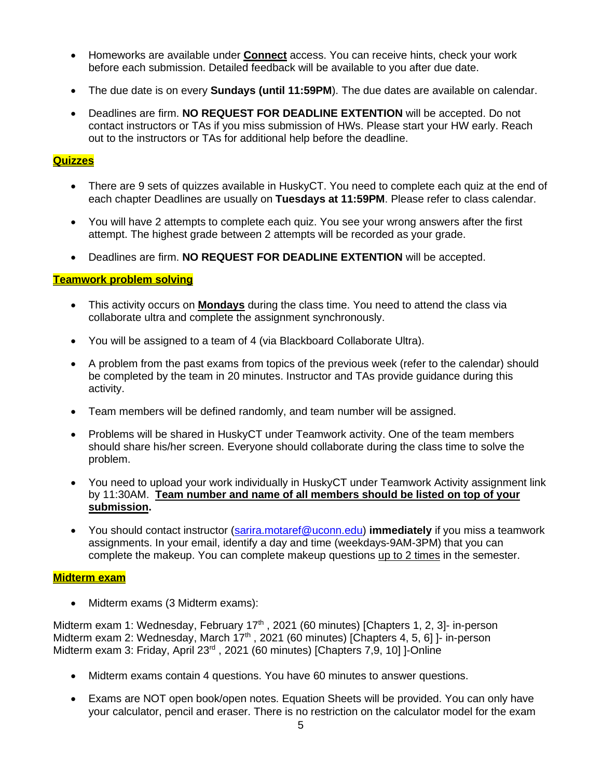- Homeworks are available under **Connect** access. You can receive hints, check your work before each submission. Detailed feedback will be available to you after due date.
- The due date is on every **Sundays (until 11:59PM**). The due dates are available on calendar.
- Deadlines are firm. **NO REQUEST FOR DEADLINE EXTENTION** will be accepted. Do not contact instructors or TAs if you miss submission of HWs. Please start your HW early. Reach out to the instructors or TAs for additional help before the deadline.

# **Quizzes**

- There are 9 sets of quizzes available in HuskyCT. You need to complete each quiz at the end of each chapter Deadlines are usually on **Tuesdays at 11:59PM**. Please refer to class calendar.
- You will have 2 attempts to complete each quiz. You see your wrong answers after the first attempt. The highest grade between 2 attempts will be recorded as your grade.
- Deadlines are firm. **NO REQUEST FOR DEADLINE EXTENTION** will be accepted.

## **Teamwork problem solving**

- This activity occurs on **Mondays** during the class time. You need to attend the class via collaborate ultra and complete the assignment synchronously.
- You will be assigned to a team of 4 (via Blackboard Collaborate Ultra).
- A problem from the past exams from topics of the previous week (refer to the calendar) should be completed by the team in 20 minutes. Instructor and TAs provide guidance during this activity.
- Team members will be defined randomly, and team number will be assigned.
- Problems will be shared in HuskyCT under Teamwork activity. One of the team members should share his/her screen. Everyone should collaborate during the class time to solve the problem.
- You need to upload your work individually in HuskyCT under Teamwork Activity assignment link by 11:30AM. **Team number and name of all members should be listed on top of your submission.**
- You should contact instructor [\(sarira.motaref@uconn.edu\)](mailto:sarira.motaref@uconn.edu) **immediately** if you miss a teamwork assignments. In your email, identify a day and time (weekdays-9AM-3PM) that you can complete the makeup. You can complete makeup questions up to 2 times in the semester.

## **Midterm exam**

• Midterm exams (3 Midterm exams):

Midterm exam 1: Wednesday, February 17<sup>th</sup>, 2021 (60 minutes) [Chapters 1, 2, 3]- in-person Midterm exam 2: Wednesday, March  $17<sup>th</sup>$ , 2021 (60 minutes) [Chapters 4, 5, 6] ]- in-person Midterm exam 3: Friday, April 23<sup>rd</sup>, 2021 (60 minutes) [Chapters 7,9, 10] ]-Online

- Midterm exams contain 4 questions. You have 60 minutes to answer questions.
- Exams are NOT open book/open notes. Equation Sheets will be provided. You can only have your calculator, pencil and eraser. There is no restriction on the calculator model for the exam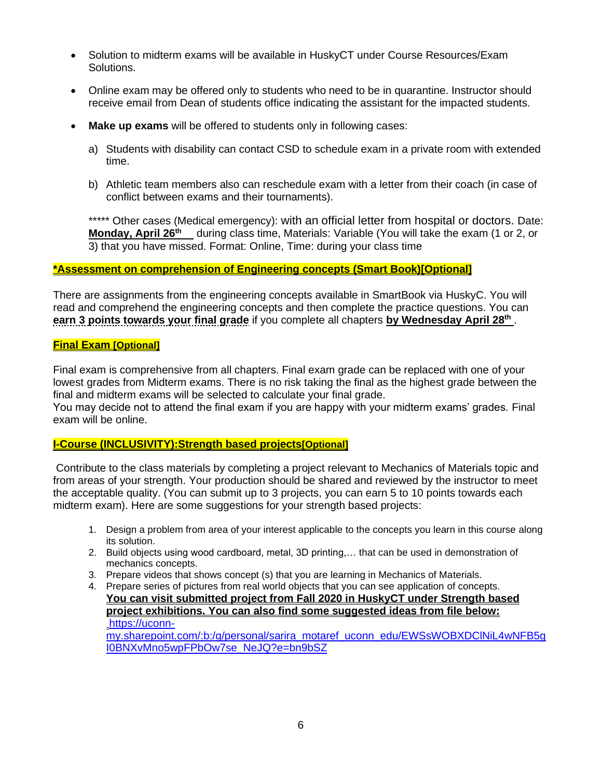- Solution to midterm exams will be available in HuskyCT under Course Resources/Exam Solutions.
- Online exam may be offered only to students who need to be in quarantine. Instructor should receive email from Dean of students office indicating the assistant for the impacted students.
- **Make up exams** will be offered to students only in following cases:
	- a) Students with disability can contact CSD to schedule exam in a private room with extended time.
	- b) Athletic team members also can reschedule exam with a letter from their coach (in case of conflict between exams and their tournaments).

\*\*\*\*\* Other cases (Medical emergency): with an official letter from hospital or doctors. Date: **Monday, April 26<sup>th</sup>** during class time, Materials: Variable (You will take the exam (1 or 2, or 3) that you have missed. Format: Online, Time: during your class time

## **\*Assessment on comprehension of Engineering concepts (Smart Book)[Optional]**

There are assignments from the engineering concepts available in SmartBook via HuskyC. You will read and comprehend the engineering concepts and then complete the practice questions. You can **earn 3 points towards your final grade** if you complete all chapters **by Wednesday April 28th** .

## **Final Exam [Optional]**

Final exam is comprehensive from all chapters. Final exam grade can be replaced with one of your lowest grades from Midterm exams. There is no risk taking the final as the highest grade between the final and midterm exams will be selected to calculate your final grade.

You may decide not to attend the final exam if you are happy with your midterm exams' grades. Final exam will be online.

# **I-Course (INCLUSIVITY):Strength based projects[Optional]**

Contribute to the class materials by completing a project relevant to Mechanics of Materials topic and from areas of your strength. Your production should be shared and reviewed by the instructor to meet the acceptable quality. (You can submit up to 3 projects, you can earn 5 to 10 points towards each midterm exam). Here are some suggestions for your strength based projects:

- 1. Design a problem from area of your interest applicable to the concepts you learn in this course along its solution.
- 2. Build objects using wood cardboard, metal, 3D printing,… that can be used in demonstration of mechanics concepts.
- 3. Prepare videos that shows concept (s) that you are learning in Mechanics of Materials.
- 4. Prepare series of pictures from real world objects that you can see application of concepts. **You can visit submitted project from Fall 2020 in HuskyCT under Strength based project exhibitions. You can also find some suggested ideas from file below:** [https://uconn](https://uconn-my.sharepoint.com/:b:/g/personal/sarira_motaref_uconn_edu/EWSsWOBXDClNiL4wNFB5gI0BNXvMno5wpFPbOw7se_NeJQ?e=bn9bSZ)[my.sharepoint.com/:b:/g/personal/sarira\\_motaref\\_uconn\\_edu/EWSsWOBXDClNiL4wNFB5g](https://uconn-my.sharepoint.com/:b:/g/personal/sarira_motaref_uconn_edu/EWSsWOBXDClNiL4wNFB5gI0BNXvMno5wpFPbOw7se_NeJQ?e=bn9bSZ)

[I0BNXvMno5wpFPbOw7se\\_NeJQ?e=bn9bSZ](https://uconn-my.sharepoint.com/:b:/g/personal/sarira_motaref_uconn_edu/EWSsWOBXDClNiL4wNFB5gI0BNXvMno5wpFPbOw7se_NeJQ?e=bn9bSZ)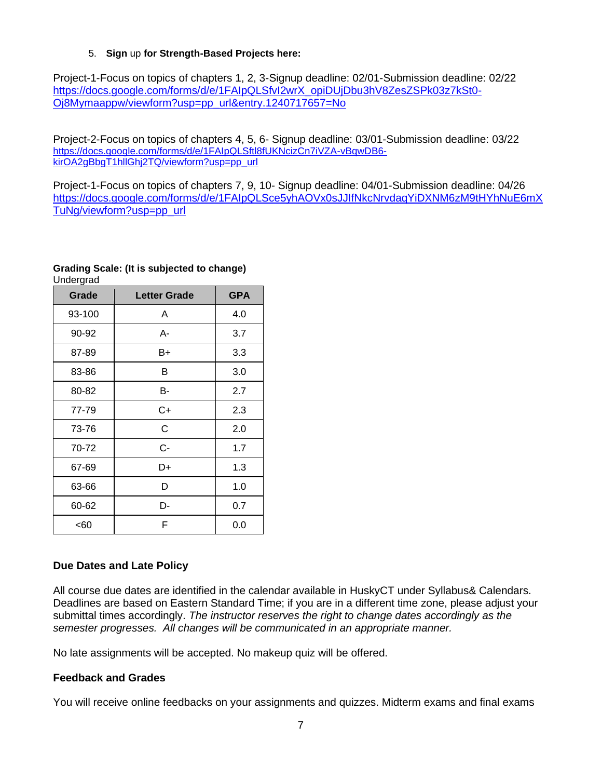## 5. **Sign** up **for Strength-Based Projects here:**

Project-1-Focus on topics of chapters 1, 2, 3-Signup deadline: 02/01-Submission deadline: 02/22 [https://docs.google.com/forms/d/e/1FAIpQLSfvI2wrX\\_opiDUjDbu3hV8ZesZSPk03z7kSt0-](https://docs.google.com/forms/d/e/1FAIpQLSfvI2wrX_opiDUjDbu3hV8ZesZSPk03z7kSt0-Oj8Mymaappw/viewform?usp=pp_url&entry.1240717657=No) [Oj8Mymaappw/viewform?usp=pp\\_url&entry.1240717657=No](https://docs.google.com/forms/d/e/1FAIpQLSfvI2wrX_opiDUjDbu3hV8ZesZSPk03z7kSt0-Oj8Mymaappw/viewform?usp=pp_url&entry.1240717657=No)

Project-2-Focus on topics of chapters 4, 5, 6- Signup deadline: 03/01-Submission deadline: 03/22 [https://docs.google.com/forms/d/e/1FAIpQLSftl8fUKNcizCn7iVZA-vBqwDB6](https://docs.google.com/forms/d/e/1FAIpQLSftl8fUKNcizCn7iVZA-vBqwDB6-kirOA2gBbgT1hllGhj2TQ/viewform?usp=pp_url) [kirOA2gBbgT1hllGhj2TQ/viewform?usp=pp\\_url](https://docs.google.com/forms/d/e/1FAIpQLSftl8fUKNcizCn7iVZA-vBqwDB6-kirOA2gBbgT1hllGhj2TQ/viewform?usp=pp_url)

Project-1-Focus on topics of chapters 7, 9, 10- Signup deadline: 04/01-Submission deadline: 04/26 [https://docs.google.com/forms/d/e/1FAIpQLSce5yhAOVx0sJJIfNkcNrvdaqYiDXNM6zM9tHYhNuE6mX](https://docs.google.com/forms/d/e/1FAIpQLSce5yhAOVx0sJJIfNkcNrvdaqYiDXNM6zM9tHYhNuE6mXTuNg/viewform?usp=pp_url) [TuNg/viewform?usp=pp\\_url](https://docs.google.com/forms/d/e/1FAIpQLSce5yhAOVx0sJJIfNkcNrvdaqYiDXNM6zM9tHYhNuE6mXTuNg/viewform?usp=pp_url)

| Grade  | <b>Letter Grade</b> | <b>GPA</b> |
|--------|---------------------|------------|
| 93-100 | A                   | 4.0        |
| 90-92  | А-                  | 3.7        |
| 87-89  | B+                  | 3.3        |
| 83-86  | B                   | 3.0        |
| 80-82  | в-                  | 2.7        |
| 77-79  | $C+$                | 2.3        |
| 73-76  | C                   | 2.0        |
| 70-72  | С-                  | 1.7        |
| 67-69  | D+                  | 1.3        |
| 63-66  | D                   | 1.0        |
| 60-62  | D-                  | 0.7        |
| <60    | F                   | 0.0        |

### **Grading Scale: (It is subjected to change)** Undergrad

# **Due Dates and Late Policy**

All course due dates are identified in the calendar available in HuskyCT under Syllabus& Calendars. Deadlines are based on Eastern Standard Time; if you are in a different time zone, please adjust your submittal times accordingly. *The instructor reserves the right to change dates accordingly as the semester progresses. All changes will be communicated in an appropriate manner.*

No late assignments will be accepted. No makeup quiz will be offered.

# **Feedback and Grades**

You will receive online feedbacks on your assignments and quizzes. Midterm exams and final exams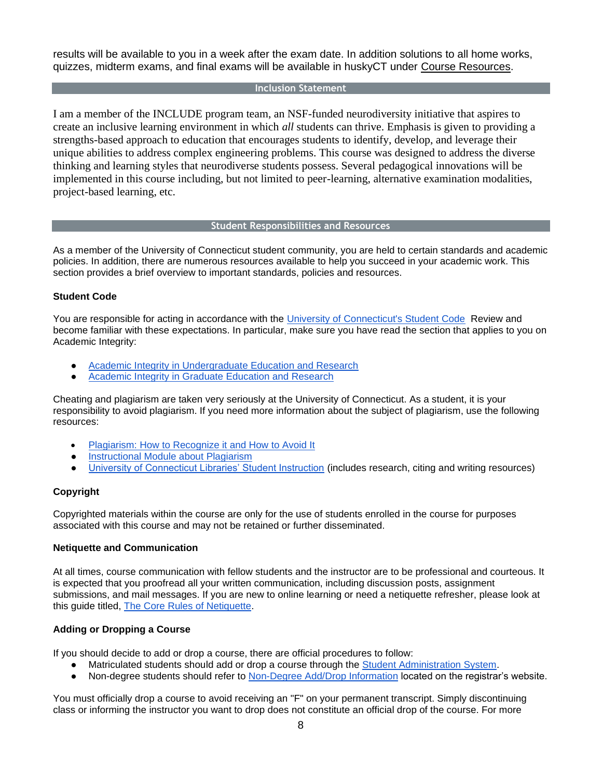results will be available to you in a week after the exam date. In addition solutions to all home works, quizzes, midterm exams, and final exams will be available in huskyCT under Course Resources.

#### **Inclusion Statement**

I am a member of the INCLUDE program team, an NSF-funded neurodiversity initiative that aspires to create an inclusive learning environment in which *all* students can thrive. Emphasis is given to providing a strengths-based approach to education that encourages students to identify, develop, and leverage their unique abilities to address complex engineering problems. This course was designed to address the diverse thinking and learning styles that neurodiverse students possess. Several pedagogical innovations will be implemented in this course including, but not limited to peer-learning, alternative examination modalities, project-based learning, etc.

#### **Student Responsibilities and Resources**

As a member of the University of Connecticut student community, you are held to certain standards and academic policies. In addition, there are numerous resources available to help you succeed in your academic work. This section provides a brief overview to important standards, policies and resources.

### **Student Code**

You are responsible for acting in accordance with the [University of Connecticut's Student Code](http://www.community.uconn.edu/student_code.html) Review and become familiar with these expectations. In particular, make sure you have read the section that applies to you on Academic Integrity:

- [Academic Integrity in Undergraduate Education and Research](http://www.community.uconn.edu/student_code_appendixa.html)
- [Academic Integrity in Graduate Education and Research](http://web9.uits.uconn.edu/gradschool/current/academic_integrity.html)

Cheating and plagiarism are taken very seriously at the University of Connecticut. As a student, it is your responsibility to avoid plagiarism. If you need more information about the subject of plagiarism, use the following resources:

- [Plagiarism: How to Recognize it and How to Avoid It](http://lib.uconn.edu/instruction/tutorials/plagiarism.htm)
- **[Instructional Module about Plagiarism](http://irc.uconn.edu/PlagiarismModule/intro_m.htm)**
- [University of Connecticut Libraries' Student Instruction](http://lib.uconn.edu/instruction/students.htm) (includes research, citing and writing resources)

## **Copyright**

Copyrighted materials within the course are only for the use of students enrolled in the course for purposes associated with this course and may not be retained or further disseminated.

### **Netiquette and Communication**

At all times, course communication with fellow students and the instructor are to be professional and courteous. It is expected that you proofread all your written communication, including discussion posts, assignment submissions, and mail messages. If you are new to online learning or need a netiquette refresher, please look at this guide titled, [The Core Rules of Netiquette.](http://www.albion.com/netiquette/corerules.html)

### **Adding or Dropping a Course**

If you should decide to add or drop a course, there are official procedures to follow:

- Matriculated students should add or drop a course through the [Student Administration System.](https://student.studentadmin.uconn.edu/)
- Non-degree students should refer to [Non-Degree Add/Drop Information](http://nondegree.uconn.edu/options.htm) located on the registrar's website.

You must officially drop a course to avoid receiving an "F" on your permanent transcript. Simply discontinuing class or informing the instructor you want to drop does not constitute an official drop of the course. For more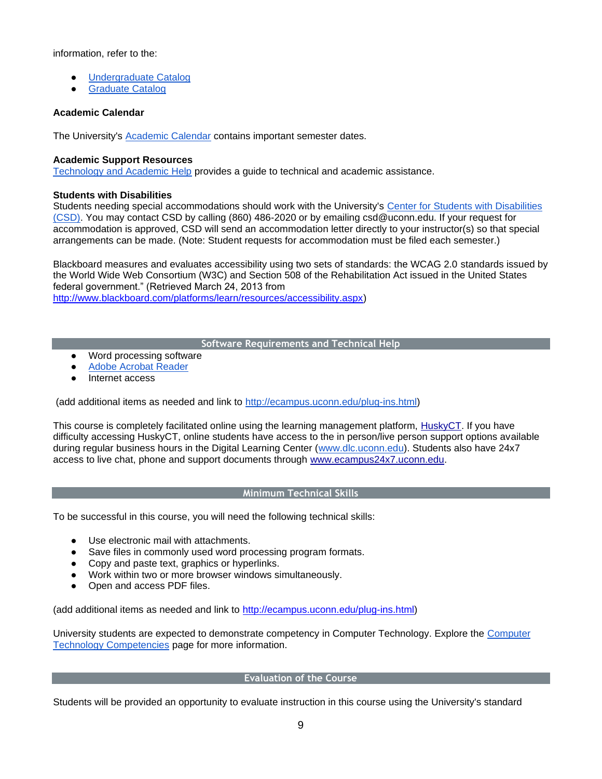information, refer to the:

- **[Undergraduate Catalog](http://catalog.uconn.edu/)**
- **[Graduate Catalog](http://graduatecatalog.uconn.edu/)**

### **Academic Calendar**

The University's [Academic Calendar](http://www.registrar.uconn.edu/calendar.htm) contains important semester dates.

#### **Academic Support Resources**

[Technology and Academic Help](http://ecampus.uconn.edu/help.html) provides a guide to technical and academic assistance.

#### **Students with Disabilities**

Students needing special accommodations should work with the University's [Center for Students with Disabilities](http://www.csd.uconn.edu/index.html)  [\(CSD\).](http://www.csd.uconn.edu/index.html) You may contact CSD by calling (860) 486-2020 or by emailing csd@uconn.edu. If your request for accommodation is approved, CSD will send an accommodation letter directly to your instructor(s) so that special arrangements can be made. (Note: Student requests for accommodation must be filed each semester.)

Blackboard measures and evaluates accessibility using two sets of standards: the WCAG 2.0 standards issued by the World Wide Web Consortium (W3C) and Section 508 of the Rehabilitation Act issued in the United States federal government." (Retrieved March 24, 2013 from [http://www.blackboard.com/platforms/learn/resources/accessibility.aspx\)](http://www.blackboard.com/platforms/learn/resources/accessibility.aspx)

### **Software Requirements and Technical Help**

- Word processing software
- **[Adobe Acrobat Reader](http://www.adobe.com/products/acrobat/readstep2.html)**
- Internet access

(add additional items as needed and link to [http://ecampus.uconn.edu/plug-ins.html\)](http://ecampus.uconn.edu/plug-ins.html)

This course is completely facilitated online using the learning management platform, [HuskyCT.](http://huskyct.uconn.edu/) If you have difficulty accessing HuskyCT, online students have access to the in person/live person support options available during regular business hours in the Digital Learning Center [\(www.dlc.uconn.edu\)](http://www.dlc.uconn.edu/). Students also have 24x7 access to live chat, phone and support documents through [www.ecampus24x7.uconn.edu.](http://www.ecampus24x7.uconn.edu/)

### **Minimum Technical Skills**

To be successful in this course, you will need the following technical skills:

- Use electronic mail with attachments.
- Save files in commonly used word processing program formats.
- Copy and paste text, graphics or hyperlinks.
- Work within two or more browser windows simultaneously.
- Open and access PDF files.

(add additional items as needed and link to [http://ecampus.uconn.edu/plug-ins.html\)](http://ecampus.uconn.edu/plug-ins.html)

University students are expected to demonstrate competency in Computer Technology. Explore the [Computer](http://ctcs.uconn.edu/)  [Technology Competencies](http://ctcs.uconn.edu/) page for more information.

### **Evaluation of the Course**

Students will be provided an opportunity to evaluate instruction in this course using the University's standard